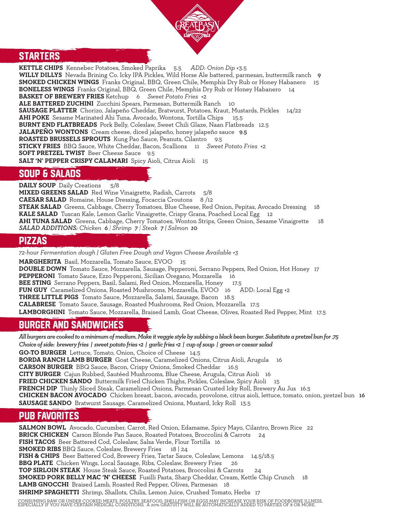

#### **STARTERS**

**KETTLE CHIPS** Kennebec Potatoes, Smoked Paprika 5.5 *ADD: Onion Dip* +3.5 WILLY DILLYS Nevada Brining Co. Icky IPA Pickles, Wild Horse Ale battered, parmesan, buttermilk ranch 9 **SMOKED CHICKEN WINGS** Franks Original, BBQ, Green Chile, Memphis Dry Rub or Honey Habanero 15 **BONELESS WINGS** Franks Original, BBQ, Green Chile, Memphis Dry Rub or Honey Habanero 14 **BASKET OF BREWERY FRIES** Ketchup 6 *Sweet Potato Fries* +2 **ALE BATTERED ZUCHINI** Zucchini Spears, Parmesan, Buttermilk Ranch 10 **SAUSAGE PLATTER** Chorizo, Jalapeño Cheddar, Bratwurst, Potatoes, Kraut, Mustards, Pickles 14/22 **AHI POKE** Sesame Marinated Ahi Tuna, Avocado, Wontons, Tortilla Chips 15.5 **BURNT END FLATBREADS** Pork Belly, Coleslaw, Sweet Chili Glaze, Naan Flatbreads 12.5 **JALAPEÑO WONTONS** Cream cheese, diced jalapeño, honey jalapeño sauce 9.5 ROASTED BRUSSELS SPROUTS Kung Pao Sauce, Peanuts, Cilantro 9.5 **STICKY FRIES** BBQ Sauce, White Cheddar, Bacon, Scallions 11 *Sweet Potato Fries* +2 **SOFT PRETZEL TWIST** Beer Cheese Sauce 9.5 SALT 'N' PEPPER CRISPY CALAMARI Spicy Aioli, Citrus Aioli 15

#### SOUP & SALADS

**DAILY SOUP** Daily Creations 5/8 **MIXED GREENS SALAD** Red Wine Vinaigrette, Radish, Carrots 5/8 **CAESAR SALAD** Romaine, House Dressing, Focaccia Croutons 8 /12 **STEAK SALAD** Greens, Cabbage, Cherry Tomatoes, Blue Cheese, Red Onion, Pepitas, Avocado Dressing 18 **KALE SALAD** Tuscan Kale, Lemon Garlic Vinaigrette, Crispy Grana, Poached Local Egg 12 **AHI TUNA SALAD** Greens, Cabbage, Cherry Tomatoes, Wonton Strips, Green Onion, Sesame Vinaigrette 18 *SALAD ADDITIONS: Chicken 6 | Shrimp 7 | Steak 7 | Salmon 10*

#### PIZZAS

*72-hour Fermentation dough | Gluten Free Dough and Vegan Cheese Available +3* **MARGHERITA** Basil, Mozzarella, Tomato Sauce, EVOO 15 **DOUBLE DOWN** Tomato Sauce, Mozzarella, Sausage, Pepperoni, Serrano Peppers, Red Onion, Hot Honey 17 **PEPPERONI** Tomato Sauce, Ezzo Pepperoni, Sicilian Oregano, Mozzarella 16 **BEE STING** Serrano Peppers, Basil, Salami, Red Onion, Mozzarella, Honey 17.5 **FUN GUY** Caramelized Onions, Roasted Mushrooms, Mozzarella, EVOO 16 ADD: Local Egg +2 **THREE LITTLE PIGS** Tomato Sauce, Mozzarella, Salami, Sausage, Bacon 18.5 **CALABRESE** Tomato Sauce, Sausage, Roasted Mushrooms, Red Onion, Mozzarella 17.5 **LAMBORGHINI** Tomato Sauce, Mozzarella, Braised Lamb, Goat Cheese, Olives, Roasted Red Pepper, Mint 17.5

### BURGER AND SANDWICHES

*All burgers are cooked to a minimum of medium. Make it veggie style by subbing a black bean burger. Substitute a pretzel bun for .75 Choice of side: brewery fries | sweet potato fries +2 | garlic fries +2 | cup of soup | green or caesar salad*  **GO-TO BURGER** Lettuce, Tomato, Onion, Choice of Cheese 14.5 **BORDA RANCH LAMB BURGER** Goat Cheese, Caramelized Onions, Citrus Aioli, Arugula 16 **CARSON BURGER** BBQ Sauce, Bacon, Crispy Onions, Smoked Cheddar 16.5 **CITY BURGER** Cajun Rubbed, Sautéed Mushrooms, Blue Cheese, Arugula, Citrus Aioli 16 **FRIED CHICKEN SANDO** Buttermilk Fried Chicken Thighs, Pickles, Coleslaw, Spicy Aioli 15 **FRENCH DIP** Thinly Sliced Steak, Caramelized Onions, Parmesan Crusted Icky Roll, Brewery Au Jus 16.5 **CHICKEN BACON AVOCADO** Chicken breast, bacon, avocado, provolone, citrus aioli, lettuce, tomato, onion, pretzel bun 16 **SAUSAGE SANDO** Bratwurst Sausage, Caramelized Onions, Mustard, Icky Roll 13.5

### PUB FAVORITES

**SALMON BOWL** Avocado, Cucumber, Carrot, Red Onion, Edamame, Spicy Mayo, Cilantro, Brown Rice 22 **BRICK CHICKEN** Carson Blonde Pan Sauce, Roasted Potatoes, Broccolini & Carrots 24 **FISH TACOS** Beer Battered Cod, Coleslaw, Salsa Verde, Flour Tortilla 16 **SMOKED RIBS** BBQ Sauce, Coleslaw, Brewery Fries 18 | 24 **FISH & CHIPS** Beer Battered Cod, Brewery Fries, Tartar Sauce, Coleslaw, Lemons 14.5/18.5 **BBQ PLATE** Chicken Wings, Local Sausage, Ribs, Coleslaw, Brewery Fries **TOP SIRLOIN STEAK** House Steak Sauce, Roasted Potatoes, Broccolini & Carrots 24 **SMOKED PORK BELLY MAC 'N' CHEESE** Fusilli Pasta, Sharp Cheddar, Cream, Kettle Chip Crunch 18 **LAMB GNOCCHI** Braised Lamb, Roasted Red Pepper, Olives, Parmesan 18 **SHRIMP SPAGHETTI** Shrimp, Shallots, Chilis, Lemon Juice, Crushed Tomato, Herbs 17

CONSUMING RAW OR UNDER COOKED MEATS, POULTRY, SEAFOOD, SHELLFISH OR EGGS MAY INCREASE YOUR RISK OF FOODBORNE ILLNESS,<br>ESPECIALLY IF YOU HAVE CERTAIN MEDICAL CONDITIONS. A 20% GRATUITY WILL BE AUTOMATICALLY ADDED TO PARTIE